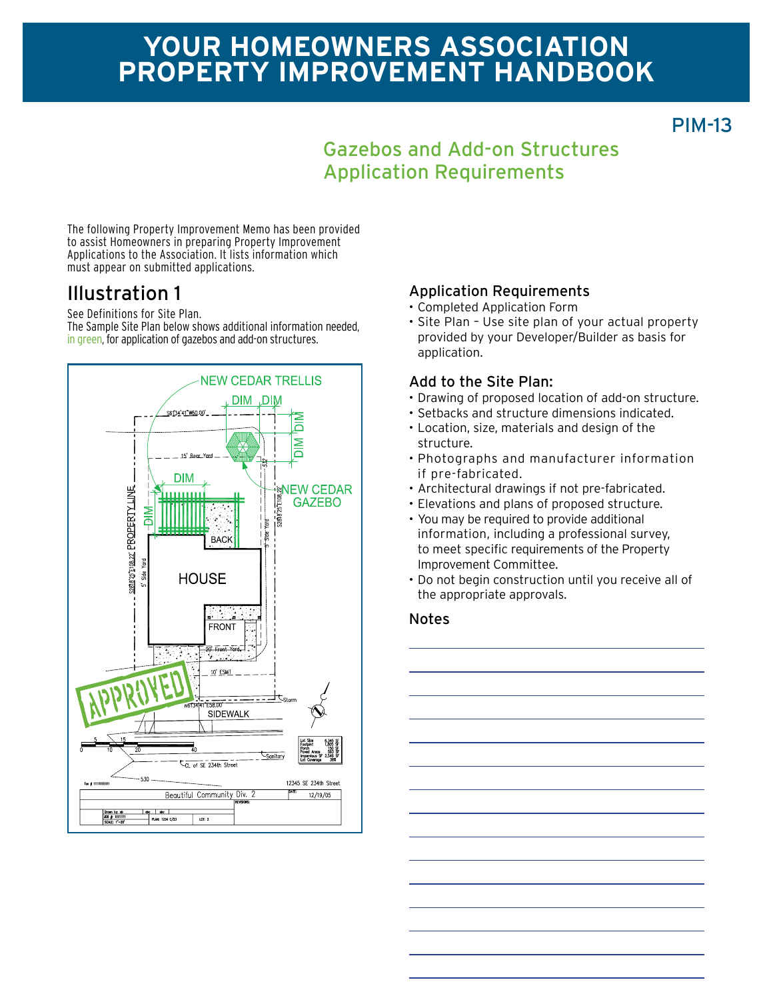# **Your homeowners association Property improvement Handbook**

PIM-13

## Gazebos and Add-on Structures Application Requirements

The following Property Improvement Memo has been provided to assist Homeowners in preparing Property Improvement Applications to the Association. It lists information which must appear on submitted applications.

## Illustration 1

See Definitions for Site Plan. The Sample Site Plan below shows additional information needed, in green, for application of gazebos and add-on structures.



### Application Requirements

- • Completed Application Form
- Site Plan Use site plan of your actual property provided by your Developer/Builder as basis for application.

#### Add to the Site Plan:

- Drawing of proposed location of add-on structure.
- • Setbacks and structure dimensions indicated.
- • Location, size, materials and design of the structure.
- • Photographs and manufacturer information if pre-fabricated.
- • Architectural drawings if not pre-fabricated.
- • Elevations and plans of proposed structure.
- You may be required to provide additional information, including a professional survey, to meet specific requirements of the Property Improvement Committee.
- Do not begin construction until you receive all of the appropriate approvals.

#### Notes

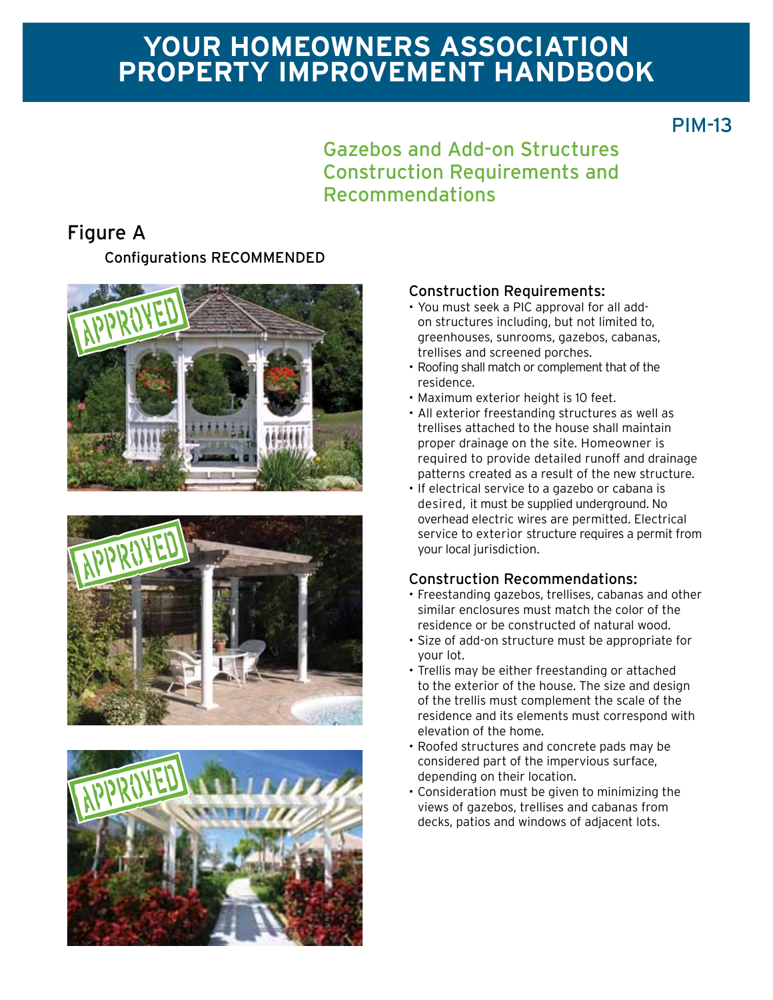# **Your homeowners association Property improvement Handbook**

PIM-13

### Gazebos and Add-on Structures Construction Requirements and Recommendations

## Figure A

Configurations RECOMMENDED







#### Construction Requirements:

- • You must seek a PIC approval for all addon structures including, but not limited to, greenhouses, sunrooms, gazebos, cabanas, trellises and screened porches.
- Roofing shall match or complement that of the residence.
- • Maximum exterior height is 10 feet.
- All exterior freestanding structures as well as trellises attached to the house shall maintain proper drainage on the site. Homeowner is required to provide detailed runoff and drainage patterns created as a result of the new structure.
- If electrical service to a gazebo or cabana is desired, it must be supplied underground. No overhead electric wires are permitted. Electrical service to exterior structure requires a permit from your local jurisdiction.

### Construction Recommendations:

- • Freestanding gazebos, trellises, cabanas and other similar enclosures must match the color of the residence or be constructed of natural wood.
- • Size of add-on structure must be appropriate for your lot.
- Trellis may be either freestanding or attached to the exterior of the house. The size and design of the trellis must complement the scale of the residence and its elements must correspond with elevation of the home.
- • Roofed structures and concrete pads may be considered part of the impervious surface, depending on their location.
- • Consideration must be given to minimizing the views of gazebos, trellises and cabanas from decks, patios and windows of adjacent lots.